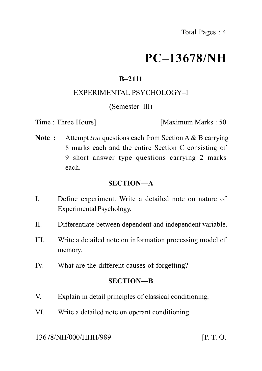# **PC–13678/NH**

# **B–2111**

# EXPERIMENTAL PSYCHOLOGY–I

#### (Semester–III)

Time : Three Hours **I** Maximum Marks : 50

**Note :** Attempt *two* questions each from Section A & B carrying 8 marks each and the entire Section C consisting of 9 short answer type questions carrying 2 marks each.

# **SECTION—A**

- I. Define experiment. Write a detailed note on nature of Experimental Psychology.
- II. Differentiate between dependent and independent variable.
- III. Write a detailed note on information processing model of memory.
- IV. What are the different causes of forgetting?

#### **SECTION—B**

- V. Explain in detail principles of classical conditioning.
- VI. Write a detailed note on operant conditioning.

#### 13678/NH/000/HHH/989 [P. T. O.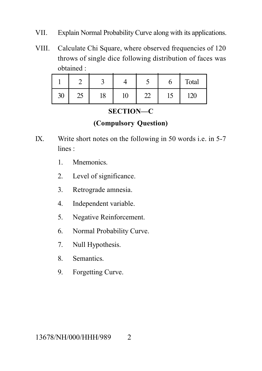- VII. Explain Normal Probability Curve along with its applications.
- VIII. Calculate Chi Square, where observed frequencies of 120 throws of single dice following distribution of faces was obtained :

|    |                      |    |                            | ັ       | Ő                 | Total |
|----|----------------------|----|----------------------------|---------|-------------------|-------|
| 30 | $\overline{C}$<br>لك | 18 | 1 $\cap$<br>1 <sub>0</sub> | ഹ<br>∠∠ | $1\sqrt{ }$<br>IJ | 120   |

**SECTION—C**

### **(Compulsory Question)**

- IX. Write short notes on the following in 50 words i.e. in 5-7 lines :
	- 1. Mnemonics.
	- 2. Level of significance.
	- 3. Retrograde amnesia.
	- 4. Independent variable.
	- 5. Negative Reinforcement.
	- 6. Normal Probability Curve.
	- 7. Null Hypothesis.
	- 8. Semantics.
	- 9. Forgetting Curve.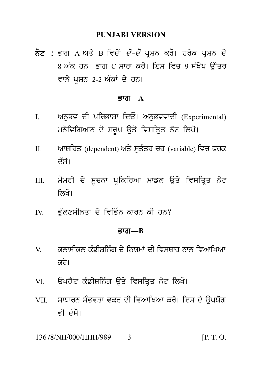#### **PUNJABI VERSION**

PUNJABI VERSION<br>ਨੋਟ : ਭਾਗ A ਅਤੇ B ਵਿਚੋਂ *ਦੋ–ਦੋ* ਪ੍ਰਸ਼ਨ ਕਰੋ। ਹਰੇਕ ਪ੍ਰਸ਼ਨ ਦੇ<br>8 ਅੰਕ ਹਨ। ਭਾਗ C ਸਾਰਾ ਕਰੋ। ਇਸ ਵਿਚ 9 ਸੰਖੇਪ ਉੱਤਰ<br>ਵਾਲੇ ਮਾਸਨ 2-2 ਅੰਕਾਂ ਦੇ ਹਨ। PUNJABI VERSION<br>ਭਾਗ A ਅਤੇ B ਵਿਚੋਂ *ਦੋ–ਦੋ* ਪ੍ਰਸ਼ਨ ਕਰੋ। ਹਰੇਕ ਪ੍ਰਸ਼ਨ ਦੇ<br>8 ਅੰਕ ਹਨ। ਭਾਗ C ਸਾਰਾ ਕਰੋ। ਇਸ ਵਿਚ 9 ਸੰਖੇਪ ਉੱਤਰ<br>ਵਾਲੇ ਪ੍ਰਸ਼ਨ 2-2 ਅੰਕਾਂ ਦੇ ਹਨ। **ਨੋਟ :** ਭਾਗ A ਅਤੇ B ਵਿਚੋਂ *ਦੋ–ਦੋ* ਪ੍ਰਸ਼ਨ ਕਰੋ। ਹਰੇਕ ਪ੍ਰਸ਼ਨ ਦੇ<br>8 ਅੰਕ ਹਨ। ਭਾਗ C ਸਾਰਾ ਕਰੋ। ਇਸ ਵਿਚ 9 ਸੰਖੇਪ ਉੱਤਰ<br>ਵਾਲੇ ਪਸ਼ਨ 2-2 ਅੰਕਾਂ ਦੇ ਹਨ।

#### $\overline{g}$ ਯ $\overline{m}$  $\overline{a}$

- ਵਾਲਂ ਪ੍ਰਸ਼ਨ 2-2 ਅੰਕਾਂ ਦੇ ਹਨ।<br>**ਭਾਗ—A**<br>I. ਅਨੁਭਵ ਦੀ ਪਰਿਭਾਸ਼ਾ ਦਿਓ। ਅਨੁਭਵਵਾਦੀ (Experimental)<br>ਮਨੋਵਿਗਿਆਨ ਦੇ ਸਰੂਪ ਉਤੇ ਵਿਸਤ੍ਰਿਤ ਨੋਟ ਲਿਖੋ। **ਭਾਗ—A**<br>ਅਨੁਭਵ ਦੀ ਪਰਿਭਾਸ਼ਾ ਦਿਓ। ਅਨੁਭਵਵਾਦੀ (Experimental)<br>ਮਨੋਵਿਗਿਆਨ ਦੇ ਸਰੂਪ ਉਤੇ ਵਿਸਤ੍ਰਿਤ ਨੋਟ ਲਿਖੋ।<br>ਆਸ਼ਰਿਤ (dependent)ਅਤੇ ਸੁਤੰਤਰ ਚਰ (variable)ਵਿਚ ਫਰਕ
- II. AwSirq (dependent) Aq y suqMqr cr (variable) ivc Prk ਮਨੋਵਿਗਿਆਨ ਦੇ ਸਰੂਪ ਉਤ<br>ਆਸ਼ਰਿਤ (dependent)ਅਤੇ<br>ਦੱਸੋ।<br>ਮੈਮਰੀ ਦੇ ਸੂਚਨਾ ਪ੍ਰਕਿਰਿ<mark>ਾ</mark> II. ਆਸ਼ਰਿਤ (dependent) ਅਤੇ ਸੁਤੰਤਰ ਚਰ (variable) ਵਿਚ ਫਰਕ<br>ਦੱਸੋ।<br>III. ਮੈਮਰੀ ਦੇ ਸੂਚਨਾ ਪ੍ਰਕਿਰਿਆ ਮਾਡਲ ਉਤੇ ਵਿਸਤ੍ਰਿਤ ਨੋਟ<br>ਲਿਖੋ।
- ਦੱਸੋ।<br>ਮੈਮਰੀ ਦੇ ਸੂਚਨਾ ਪ੍ਰਕਿਰਿਆ ਮਾਡਲ <sup>(</sup><br>ਲਿਖੋ।<br>ਭੁੱਲਣਸ਼ੀਲਤਾ ਦੇ ਵਿਭਿੰਨ ਕਾਰਨ ਕੀ ਹਨ? III. ਮੈਮਰੀ ਦੇ ਸੂਚਨਾ ਪ੍ਰਕਿਰਿਆ ਮਾਡਲ ਉਤੇ ਵਿਸਤਿ<br>ਨਿਖੋ।<br>IV. ਭੁੱਲਣਸ਼ੀਲਤਾ ਦੇ ਵਿਭਿੰਨ ਕਾਰਨ ਕੀ ਹਨ?<br>**ਭਾਗ—B**
- 

#### Bwg**—B**

- $V = \alpha$ ਲਾਸੀਕਲ ਕੰਡੀਸ਼ਨਿੰਗ ਦੇ ਨਿਯਮਾਂ ਦੀ ਵਿਸਥਾਰ ਨਾਲ ਵਿਆਖਿਆ ਕਰੋ। V. ਕਲਾਸੀਕਲ ਕੰਡੀਸ਼ਨਿੰਗ ਦੇ ਨਿਯਮਾਂ ਦੀ ਵਿਸਥਾਰ ਨਾਲ ਵਿਆਖਿਆ<br>ਕਰੋ।<br>VI. ਓਪਰੈਂਟ ਕੰਡੀਸ਼ਨਿੰਗ ਉਤੇ ਵਿਸਤ੍ਰਿਤ ਨੋਟ ਲਿਖੋ।<br>VII. ਸਾਧਾਰਨ ਸੰਭਵਤਾ ਵਕਰ ਦੀ ਵਿਆਖਿਆ ਕਰੋ। ਇਸ ਦੇ ਉਪਯੋਗ
- 
- ਕਰਂ।<br>VI. ਓਪਰੈਂਟ ਕੰਡੀਸ਼ਨਿੰਗ ਉਤੇ ਵਿਸਤ੍ਰਿਤ ਨੋਟ ਲਿਖੋ।<br>VII. ਸਾਧਾਰਨ ਸੰਭਵਤਾ ਵਕਰ ਦੀ ਵਿਆਖਿਆ ਕਰੋ। ਇਸ ਦੇ ਉਪਯੋਗ<br>ਭੀ ਦੱਸੋ। ਓਪਰੈਂਟ ਕੰਡੀਸ਼ਨਿੰਗ ਉਤੇ ਵਿਸਤ੍ਰਿਤ ਨੋਟ ਲਿਖੋ।<br>ਸਾਧਾਰਨ ਸੰਭਵਤਾ ਵਕਰ ਦੀ ਵਿਆਖਿਆ ਕਰੋ। ਇਸ ਦੇ ਉਪਯੋਗ<br>ਭੀ ਦੱਸੋ।<br>/NH/000/HHH/989 3

13678/NH/000/HHH/989 3 [P. T. O.